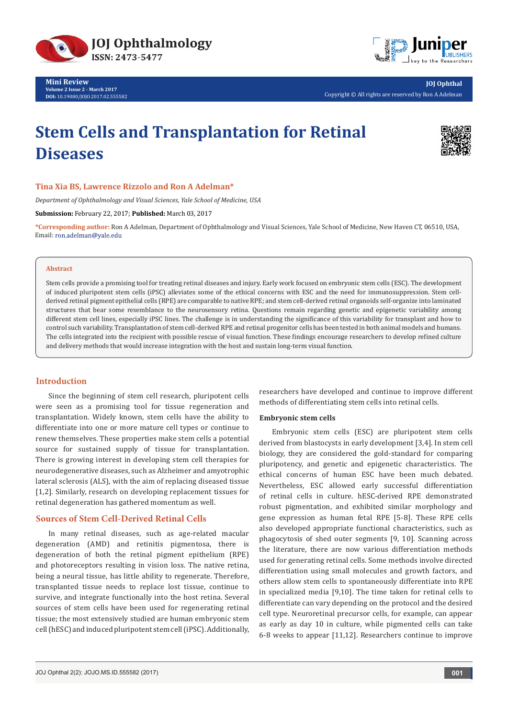

**Mini Review Volume 2 Issue 2 - March 2017 DOI:** [10.19080/JOJO.2017.02.555582](http://dx.doi.org/10.19080/JOJO.2017.02.555582
)



**JOJ Ophthal** Copyright © All rights are reserved by Ron A Adelman

# **Stem Cells and Transplantation for Retinal Diseases**



# **Tina Xia BS, Lawrence Rizzolo and Ron A Adelman\***

*Department of Ophthalmology and Visual Sciences, Yale School of Medicine, USA*

**Submission:** February 22, 2017; **Published:** March 03, 2017

**\*Corresponding author:** Ron A Adelman, Department of Ophthalmology and Visual Sciences, Yale School of Medicine, New Haven CT, 06510, USA, Email: ron.adelman@yale.edu

#### **Abstract**

Stem cells provide a promising tool for treating retinal diseases and injury. Early work focused on embryonic stem cells (ESC). The development of induced pluripotent stem cells (iPSC) alleviates some of the ethical concerns with ESC and the need for immunosuppression. Stem cellderived retinal pigment epithelial cells (RPE) are comparable to native RPE; and stem cell-derived retinal organoids self-organize into laminated structures that bear some resemblance to the neurosensory retina. Questions remain regarding genetic and epigenetic variability among different stem cell lines, especially iPSC lines. The challenge is in understanding the significance of this variability for transplant and how to control such variability. Transplantation of stem cell-derived RPE and retinal progenitor cells has been tested in both animal models and humans. The cells integrated into the recipient with possible rescue of visual function. These findings encourage researchers to develop refined culture and delivery methods that would increase integration with the host and sustain long-term visual function.

## **Introduction**

Since the beginning of stem cell research, pluripotent cells were seen as a promising tool for tissue regeneration and transplantation. Widely known, stem cells have the ability to differentiate into one or more mature cell types or continue to renew themselves. These properties make stem cells a potential source for sustained supply of tissue for transplantation. There is growing interest in developing stem cell therapies for neurodegenerative diseases, such as Alzheimer and amyotrophic lateral sclerosis (ALS), with the aim of replacing diseased tissue [1,2]. Similarly, research on developing replacement tissues for retinal degeneration has gathered momentum as well.

## **Sources of Stem Cell-Derived Retinal Cells**

In many retinal diseases, such as age-related macular degeneration (AMD) and retinitis pigmentosa, there is degeneration of both the retinal pigment epithelium (RPE) and photoreceptors resulting in vision loss. The native retina, being a neural tissue, has little ability to regenerate. Therefore, transplanted tissue needs to replace lost tissue, continue to survive, and integrate functionally into the host retina. Several sources of stem cells have been used for regenerating retinal tissue; the most extensively studied are human embryonic stem cell (hESC) and induced pluripotent stem cell (iPSC). Additionally,

researchers have developed and continue to improve different methods of differentiating stem cells into retinal cells.

#### **Embryonic stem cells**

Embryonic stem cells (ESC) are pluripotent stem cells derived from blastocysts in early development [3,4]. In stem cell biology, they are considered the gold-standard for comparing pluripotency, and genetic and epigenetic characteristics. The ethical concerns of human ESC have been much debated. Nevertheless, ESC allowed early successful differentiation of retinal cells in culture. hESC-derived RPE demonstrated robust pigmentation, and exhibited similar morphology and gene expression as human fetal RPE [5-8]. These RPE cells also developed appropriate functional characteristics, such as phagocytosis of shed outer segments [9, 10]. Scanning across the literature, there are now various differentiation methods used for generating retinal cells. Some methods involve directed differentiation using small molecules and growth factors, and others allow stem cells to spontaneously differentiate into RPE in specialized media [9,10]. The time taken for retinal cells to differentiate can vary depending on the protocol and the desired cell type. Neuroretinal precursor cells, for example, can appear as early as day 10 in culture, while pigmented cells can take 6-8 weeks to appear [11,12]. Researchers continue to improve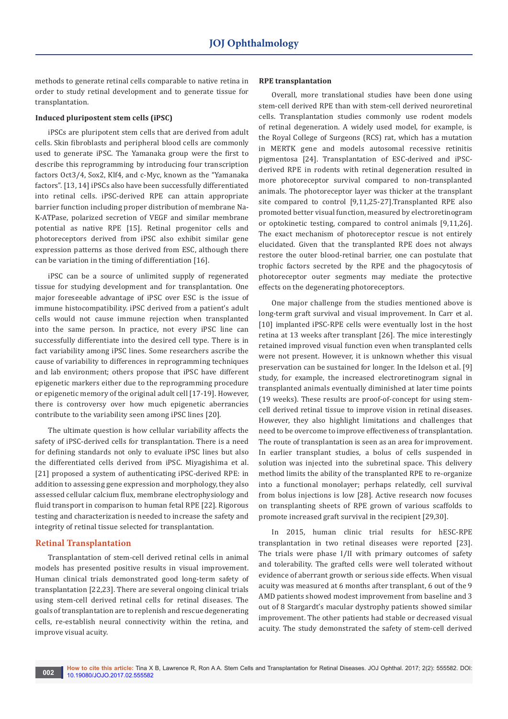methods to generate retinal cells comparable to native retina in order to study retinal development and to generate tissue for transplantation.

## **Induced pluripostent stem cells (iPSC)**

iPSCs are pluripotent stem cells that are derived from adult cells. Skin fibroblasts and peripheral blood cells are commonly used to generate iPSC. The Yamanaka group were the first to describe this reprogramming by introducing four transcription factors Oct3/4, Sox2, Klf4, and c-Myc, known as the "Yamanaka factors". [13, 14] iPSCs also have been successfully differentiated into retinal cells. iPSC-derived RPE can attain appropriate barrier function including proper distribution of membrane Na-K-ATPase, polarized secretion of VEGF and similar membrane potential as native RPE [15]. Retinal progenitor cells and photoreceptors derived from iPSC also exhibit similar gene expression patterns as those derived from ESC, although there can be variation in the timing of differentiation [16].

iPSC can be a source of unlimited supply of regenerated tissue for studying development and for transplantation. One major foreseeable advantage of iPSC over ESC is the issue of immune histocompatibility. iPSC derived from a patient's adult cells would not cause immune rejection when transplanted into the same person. In practice, not every iPSC line can successfully differentiate into the desired cell type. There is in fact variability among iPSC lines. Some researchers ascribe the cause of variability to differences in reprogramming techniques and lab environment; others propose that iPSC have different epigenetic markers either due to the reprogramming procedure or epigenetic memory of the original adult cell [17-19]. However, there is controversy over how much epigenetic aberrancies contribute to the variability seen among iPSC lines [20].

The ultimate question is how cellular variability affects the safety of iPSC-derived cells for transplantation. There is a need for defining standards not only to evaluate iPSC lines but also the differentiated cells derived from iPSC. Miyagishima et al. [21] proposed a system of authenticating iPSC-derived RPE: in addition to assessing gene expression and morphology, they also assessed cellular calcium flux, membrane electrophysiology and fluid transport in comparison to human fetal RPE [22]. Rigorous testing and characterization is needed to increase the safety and integrity of retinal tissue selected for transplantation.

## **Retinal Transplantation**

Transplantation of stem-cell derived retinal cells in animal models has presented positive results in visual improvement. Human clinical trials demonstrated good long-term safety of transplantation [22,23]. There are several ongoing clinical trials using stem-cell derived retinal cells for retinal diseases. The goals of transplantation are to replenish and rescue degenerating cells, re-establish neural connectivity within the retina, and improve visual acuity.

## **RPE transplantation**

Overall, more translational studies have been done using stem-cell derived RPE than with stem-cell derived neuroretinal cells. Transplantation studies commonly use rodent models of retinal degeneration. A widely used model, for example, is the Royal College of Surgeons (RCS) rat, which has a mutation in MERTK gene and models autosomal recessive retinitis pigmentosa [24]. Transplantation of ESC-derived and iPSCderived RPE in rodents with retinal degeneration resulted in more photoreceptor survival compared to non-transplanted animals. The photoreceptor layer was thicker at the transplant site compared to control [9,11,25-27].Transplanted RPE also promoted better visual function, measured by electroretinogram or optokinetic testing, compared to control animals [9,11,26]. The exact mechanism of photoreceptor rescue is not entirely elucidated. Given that the transplanted RPE does not always restore the outer blood-retinal barrier, one can postulate that trophic factors secreted by the RPE and the phagocytosis of photoreceptor outer segments may mediate the protective effects on the degenerating photoreceptors.

One major challenge from the studies mentioned above is long-term graft survival and visual improvement. In Carr et al. [10] implanted iPSC-RPE cells were eventually lost in the host retina at 13 weeks after transplant [26]. The mice interestingly retained improved visual function even when transplanted cells were not present. However, it is unknown whether this visual preservation can be sustained for longer. In the Idelson et al. [9] study, for example, the increased electroretinogram signal in transplanted animals eventually diminished at later time points (19 weeks). These results are proof-of-concept for using stemcell derived retinal tissue to improve vision in retinal diseases. However, they also highlight limitations and challenges that need to be overcome to improve effectiveness of transplantation. The route of transplantation is seen as an area for improvement. In earlier transplant studies, a bolus of cells suspended in solution was injected into the subretinal space. This delivery method limits the ability of the transplanted RPE to re-organize into a functional monolayer; perhaps relatedly, cell survival from bolus injections is low [28]. Active research now focuses on transplanting sheets of RPE grown of various scaffolds to promote increased graft survival in the recipient [29,30].

In 2015, human clinic trial results for hESC-RPE transplantation in two retinal diseases were reported [23]. The trials were phase I/II with primary outcomes of safety and tolerability. The grafted cells were well tolerated without evidence of aberrant growth or serious side effects. When visual acuity was measured at 6 months after transplant, 6 out of the 9 AMD patients showed modest improvement from baseline and 3 out of 8 Stargardt's macular dystrophy patients showed similar improvement. The other patients had stable or decreased visual acuity. The study demonstrated the safety of stem-cell derived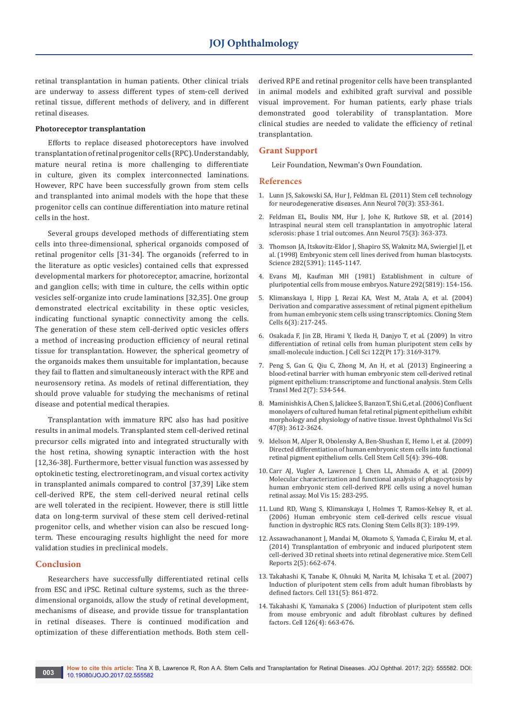retinal transplantation in human patients. Other clinical trials are underway to assess different types of stem-cell derived retinal tissue, different methods of delivery, and in different retinal diseases.

#### **Photoreceptor transplantation**

Efforts to replace diseased photoreceptors have involved transplantation of retinal progenitor cells (RPC). Understandably, mature neural retina is more challenging to differentiate in culture, given its complex interconnected laminations. However, RPC have been successfully grown from stem cells and transplanted into animal models with the hope that these progenitor cells can continue differentiation into mature retinal cells in the host.

Several groups developed methods of differentiating stem cells into three-dimensional, spherical organoids composed of retinal progenitor cells [31-34]. The organoids (referred to in the literature as optic vesicles) contained cells that expressed developmental markers for photoreceptor, amacrine, horizontal and ganglion cells; with time in culture, the cells within optic vesicles self-organize into crude laminations [32,35]. One group demonstrated electrical excitability in these optic vesicles, indicating functional synaptic connectivity among the cells. The generation of these stem cell-derived optic vesicles offers a method of increasing production efficiency of neural retinal tissue for transplantation. However, the spherical geometry of the organoids makes them unsuitable for implantation, because they fail to flatten and simultaneously interact with the RPE and neurosensory retina. As models of retinal differentiation, they should prove valuable for studying the mechanisms of retinal disease and potential medical therapies.

Transplantation with immature RPC also has had positive results in animal models. Transplanted stem cell-derived retinal precursor cells migrated into and integrated structurally with the host retina, showing synaptic interaction with the host [12,36-38]. Furthermore, better visual function was assessed by optokinetic testing, electroretinogram, and visual cortex activity in transplanted animals compared to control [37,39] Like stem cell-derived RPE, the stem cell-derived neural retinal cells are well tolerated in the recipient. However, there is still little data on long-term survival of these stem cell derived-retinal progenitor cells, and whether vision can also be rescued longterm. These encouraging results highlight the need for more validation studies in preclinical models.

### **Conclusion**

Researchers have successfully differentiated retinal cells from ESC and iPSC. Retinal culture systems, such as the threedimensional organoids, allow the study of retinal development, mechanisms of disease, and provide tissue for transplantation in retinal diseases. There is continued modification and optimization of these differentiation methods. Both stem cellderived RPE and retinal progenitor cells have been transplanted in animal models and exhibited graft survival and possible visual improvement. For human patients, early phase trials demonstrated good tolerability of transplantation. More clinical studies are needed to validate the efficiency of retinal transplantation.

## **Grant Support**

Leir Foundation, Newman's Own Foundation.

### **References**

- 1. [Lunn JS, Sakowski SA, Hur J, Feldman EL \(2011\) Stem cell technology](https://www.ncbi.nlm.nih.gov/pubmed/21905078/)  [for neurodegenerative diseases. Ann Neurol 70\(3\): 353-361.](https://www.ncbi.nlm.nih.gov/pubmed/21905078/)
- 2. [Feldman EL, Boulis NM, Hur J, Johe K, Rutkove SB, et al. \(2014\)](https://www.ncbi.nlm.nih.gov/pubmed/24510776)  [Intraspinal neural stem cell transplantation in amyotrophic lateral](https://www.ncbi.nlm.nih.gov/pubmed/24510776)  [sclerosis: phase 1 trial outcomes. Ann Neurol 75\(3\): 363-373.](https://www.ncbi.nlm.nih.gov/pubmed/24510776)
- 3. [Thomson JA, Itskovitz-Eldor J, Shapiro SS, Waknitz MA, Swiergiel JJ, et](https://www.ncbi.nlm.nih.gov/pubmed/9804556)  [al. \(1998\) Embryonic stem cell lines derived from human blastocysts.](https://www.ncbi.nlm.nih.gov/pubmed/9804556)  [Science 282\(5391\): 1145-1147.](https://www.ncbi.nlm.nih.gov/pubmed/9804556)
- 4. [Evans MJ, Kaufman MH \(1981\) Establishment in culture of](https://www.ncbi.nlm.nih.gov/pubmed/7242681)  [pluripotential cells from mouse embryos. Nature 292\(5819\): 154-156.](https://www.ncbi.nlm.nih.gov/pubmed/7242681)
- 5. [Klimanskaya I, Hipp J, Rezai KA, West M, Atala A, et al. \(2004\)](https://www.ncbi.nlm.nih.gov/pubmed/15671670)  [Derivation and comparative assessment of retinal pigment epithelium](https://www.ncbi.nlm.nih.gov/pubmed/15671670)  [from human embryonic stem cells using transcriptomics. Cloning Stem](https://www.ncbi.nlm.nih.gov/pubmed/15671670)  [Cells 6\(3\): 217-245.](https://www.ncbi.nlm.nih.gov/pubmed/15671670)
- 6. [Osakada F, Jin ZB, Hirami Y, Ikeda H, Danjyo T, et al. \(2009\) In vitro](https://www.ncbi.nlm.nih.gov/pubmed/19671662)  [differentiation of retinal cells from human pluripotent stem cells by](https://www.ncbi.nlm.nih.gov/pubmed/19671662)  [small-molecule induction. J Cell Sci 122\(Pt 17\): 3169-3179.](https://www.ncbi.nlm.nih.gov/pubmed/19671662)
- 7. [Peng S, Gan G, Qiu C, Zhong M, An H, et al. \(2013\) Engineering a](https://www.ncbi.nlm.nih.gov/pubmed/23734062)  [blood-retinal barrier with human embryonic stem cell-derived retinal](https://www.ncbi.nlm.nih.gov/pubmed/23734062)  [pigment epithelium: transcriptome and functional analysis. Stem Cells](https://www.ncbi.nlm.nih.gov/pubmed/23734062)  [Transl Med 2\(7\): 534-544.](https://www.ncbi.nlm.nih.gov/pubmed/23734062)
- 8. [Maminishkis A, Chen S, Jalickee S, Banzon T, Shi G, et al. \(2006\) Confluent](https://www.ncbi.nlm.nih.gov/pubmed/16877436)  [monolayers of cultured human fetal retinal pigment epithelium exhibit](https://www.ncbi.nlm.nih.gov/pubmed/16877436)  [morphology and physiology of native tissue. Invest Ophthalmol Vis Sci](https://www.ncbi.nlm.nih.gov/pubmed/16877436)  [47\(8\): 3612-3624.](https://www.ncbi.nlm.nih.gov/pubmed/16877436)
- 9. [Idelson M, Alper R, Obolensky A, Ben-Shushan E, Hemo I, et al. \(2009\)](https://www.ncbi.nlm.nih.gov/pubmed/19796620)  [Directed differentiation of human embryonic stem cells into functional](https://www.ncbi.nlm.nih.gov/pubmed/19796620)  [retinal pigment epithelium cells. Cell Stem Cell 5\(4\): 396-408.](https://www.ncbi.nlm.nih.gov/pubmed/19796620)
- 10. [Carr AJ, Vugler A, Lawrence J, Chen LL, Ahmado A, et al. \(2009\)](https://www.ncbi.nlm.nih.gov/pubmed/19204785)  [Molecular characterization and functional analysis of phagocytosis by](https://www.ncbi.nlm.nih.gov/pubmed/19204785)  [human embryonic stem cell-derived RPE cells using a novel human](https://www.ncbi.nlm.nih.gov/pubmed/19204785)  [retinal assay. Mol Vis 15: 283-295.](https://www.ncbi.nlm.nih.gov/pubmed/19204785)
- 11. [Lund RD, Wang S, Klimanskaya I, Holmes T, Ramos-Kelsey R, et al.](https://www.ncbi.nlm.nih.gov/pubmed/17009895)  [\(2006\) Human embryonic stem cell-derived cells rescue visual](https://www.ncbi.nlm.nih.gov/pubmed/17009895)  [function in dystrophic RCS rats. Cloning Stem Cells 8\(3\): 189-199.](https://www.ncbi.nlm.nih.gov/pubmed/17009895)
- 12. [Assawachananont J, Mandai M, Okamoto S, Yamada C, Eiraku M, et al.](https://www.ncbi.nlm.nih.gov/pubmed/24936453)  [\(2014\) Transplantation of embryonic and induced pluripotent stem](https://www.ncbi.nlm.nih.gov/pubmed/24936453)  [cell-derived 3D retinal sheets into retinal degenerative mice. Stem Cell](https://www.ncbi.nlm.nih.gov/pubmed/24936453)  [Reports 2\(5\): 662-674.](https://www.ncbi.nlm.nih.gov/pubmed/24936453)
- 13. [Takahashi K, Tanabe K, Ohnuki M, Narita M, Ichisaka T, et al. \(2007\)](https://www.ncbi.nlm.nih.gov/pubmed/18035408)  [Induction of pluripotent stem cells from adult human fibroblasts by](https://www.ncbi.nlm.nih.gov/pubmed/18035408)  [defined factors. Cell 131\(5\): 861-872.](https://www.ncbi.nlm.nih.gov/pubmed/18035408)
- 14. [Takahashi K, Yamanaka S \(2006\) Induction of pluripotent stem cells](https://www.ncbi.nlm.nih.gov/pubmed/16904174)  [from mouse embryonic and adult fibroblast cultures by defined](https://www.ncbi.nlm.nih.gov/pubmed/16904174)  [factors. Cell 126\(4\): 663-676.](https://www.ncbi.nlm.nih.gov/pubmed/16904174)